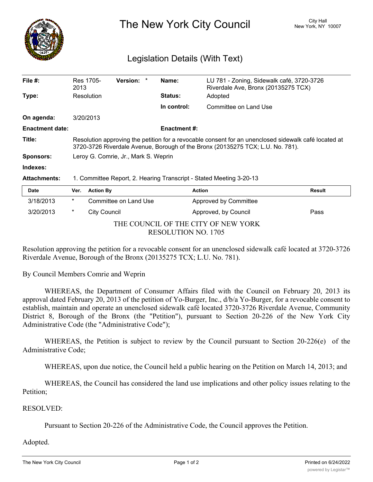

The New York City Council New York, NY 10007

## Legislation Details (With Text)

| File $#$ :             | Res 1705-<br>2013                                                                                                                                                                      | Version: *            |  | Name:               | LU 781 - Zoning, Sidewalk café, 3720-3726<br>Riverdale Ave, Bronx (20135275 TCX) |               |
|------------------------|----------------------------------------------------------------------------------------------------------------------------------------------------------------------------------------|-----------------------|--|---------------------|----------------------------------------------------------------------------------|---------------|
| Type:                  | Resolution                                                                                                                                                                             |                       |  | <b>Status:</b>      | Adopted                                                                          |               |
|                        |                                                                                                                                                                                        |                       |  | In control:         | Committee on Land Use                                                            |               |
| On agenda:             | 3/20/2013                                                                                                                                                                              |                       |  |                     |                                                                                  |               |
| <b>Enactment date:</b> |                                                                                                                                                                                        |                       |  | <b>Enactment #:</b> |                                                                                  |               |
| Title:                 | Resolution approving the petition for a revocable consent for an unenclosed sidewalk café located at<br>3720-3726 Riverdale Avenue, Borough of the Bronx (20135275 TCX; L.U. No. 781). |                       |  |                     |                                                                                  |               |
| <b>Sponsors:</b>       | Leroy G. Comrie, Jr., Mark S. Weprin                                                                                                                                                   |                       |  |                     |                                                                                  |               |
| Indexes:               |                                                                                                                                                                                        |                       |  |                     |                                                                                  |               |
| <b>Attachments:</b>    | 1. Committee Report, 2. Hearing Transcript - Stated Meeting 3-20-13                                                                                                                    |                       |  |                     |                                                                                  |               |
| Date                   | Ver.                                                                                                                                                                                   | <b>Action By</b>      |  |                     | <b>Action</b>                                                                    | <b>Result</b> |
| 3/18/2013              | $\star$                                                                                                                                                                                | Committee on Land Use |  |                     | Approved by Committee                                                            |               |

THE COUNCIL OF THE CITY OF NEW YORK RESOLUTION NO. 1705

3/20/2013 \* City Council **Approved, by Council** Pass

Resolution approving the petition for a revocable consent for an unenclosed sidewalk café located at 3720-3726 Riverdale Avenue, Borough of the Bronx (20135275 TCX; L.U. No. 781).

By Council Members Comrie and Weprin

WHEREAS, the Department of Consumer Affairs filed with the Council on February 20, 2013 its approval dated February 20, 2013 of the petition of Yo-Burger, Inc., d/b/a Yo-Burger, for a revocable consent to establish, maintain and operate an unenclosed sidewalk café located 3720-3726 Riverdale Avenue, Community District 8, Borough of the Bronx (the "Petition"), pursuant to Section 20-226 of the New York City Administrative Code (the "Administrative Code");

WHEREAS, the Petition is subject to review by the Council pursuant to Section 20-226(e) of the Administrative Code;

WHEREAS, upon due notice, the Council held a public hearing on the Petition on March 14, 2013; and

WHEREAS, the Council has considered the land use implications and other policy issues relating to the Petition;

## RESOLVED:

Pursuant to Section 20-226 of the Administrative Code, the Council approves the Petition.

## Adopted.